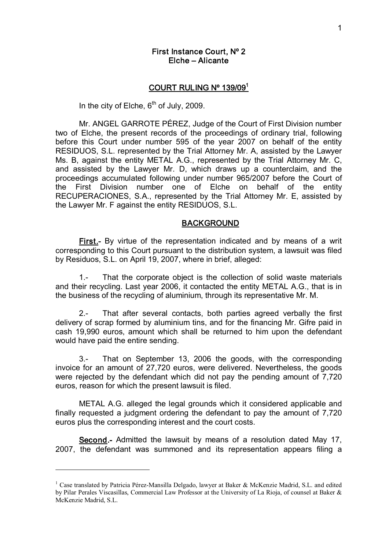# First Instance Court, Nº 2 Elche – Alicante

### COURT RULING Nº 139/09<sup>1</sup>

In the city of Elche,  $6<sup>th</sup>$  of July, 2009.

Mr. ANGEL GARROTE PÉREZ, Judge of the Court of First Division number two of Elche, the present records of the proceedings of ordinary trial, following before this Court under number 595 of the year 2007 on behalf of the entity RESIDUOS, S.L. represented by the Trial Attorney Mr. A, assisted by the Lawyer Ms. B, against the entity METAL A.G., represented by the Trial Attorney Mr. C, and assisted by the Lawyer Mr. D, which draws up a counterclaim, and the proceedings accumulated following under number 965/2007 before the Court of the First Division number one of Elche on behalf of the entity RECUPERACIONES, S.A., represented by the Trial Attorney Mr. E, assisted by the Lawyer Mr. F against the entity RESIDUOS, S.L.

#### BACKGROUND

First.- By virtue of the representation indicated and by means of a writ corresponding to this Court pursuant to the distribution system, a lawsuit was filed by Residuos, S.L. on April 19, 2007, where in brief, alleged:

1. That the corporate object is the collection of solid waste materials and their recycling. Last year 2006, it contacted the entity METAL A.G., that is in the business of the recycling of aluminium, through its representative Mr. M.

2. That after several contacts, both parties agreed verbally the first delivery of scrap formed by aluminium tins, and for the financing Mr. Gifre paid in cash 19,990 euros, amount which shall be returned to him upon the defendant would have paid the entire sending.

3. That on September 13, 2006 the goods, with the corresponding invoice for an amount of 27,720 euros, were delivered. Nevertheless, the goods were rejected by the defendant which did not pay the pending amount of 7,720 euros, reason for which the present lawsuit is filed.

METAL A.G. alleged the legal grounds which it considered applicable and finally requested a judgment ordering the defendant to pay the amount of 7,720 euros plus the corresponding interest and the court costs.

Second.- Admitted the lawsuit by means of a resolution dated May 17, 2007, the defendant was summoned and its representation appears filing a

<sup>&</sup>lt;sup>1</sup> Case translated by Patricia Pérez-Mansilla Delgado, lawyer at Baker & McKenzie Madrid, S.L. and edited by Pilar Perales Viscasillas, Commercial Law Professor at the University of La Rioja, of counsel at Baker & McKenzie Madrid, S.L.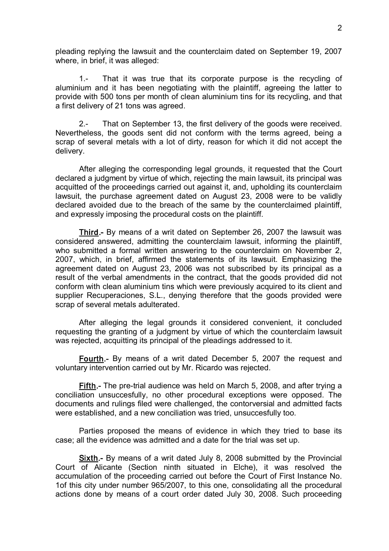pleading replying the lawsuit and the counterclaim dated on September 19, 2007 where, in brief, it was alleged:

1. That it was true that its corporate purpose is the recycling of aluminium and it has been negotiating with the plaintiff, agreeing the latter to provide with 500 tons per month of clean aluminium tins for its recycling, and that a first delivery of 21 tons was agreed.

2. That on September 13, the first delivery of the goods were received. Nevertheless, the goods sent did not conform with the terms agreed, being a scrap of several metals with a lot of dirty, reason for which it did not accept the delivery.

After alleging the corresponding legal grounds, it requested that the Court declared a judgment by virtue of which, rejecting the main lawsuit, its principal was acquitted of the proceedings carried out against it, and, upholding its counterclaim lawsuit, the purchase agreement dated on August 23, 2008 were to be validly declared avoided due to the breach of the same by the counterclaimed plaintiff, and expressly imposing the procedural costs on the plaintiff.

Third.- By means of a writ dated on September 26, 2007 the lawsuit was considered answered, admitting the counterclaim lawsuit, informing the plaintiff, who submitted a formal written answering to the counterclaim on November 2, 2007, which, in brief, affirmed the statements of its lawsuit. Emphasizing the agreement dated on August 23, 2006 was not subscribed by its principal as a result of the verbal amendments in the contract, that the goods provided did not conform with clean aluminium tins which were previously acquired to its client and supplier Recuperaciones, S.L., denying therefore that the goods provided were scrap of several metals adulterated.

After alleging the legal grounds it considered convenient, it concluded requesting the granting of a judgment by virtue of which the counterclaim lawsuit was rejected, acquitting its principal of the pleadings addressed to it.

Fourth. By means of a writ dated December 5, 2007 the request and voluntary intervention carried out by Mr. Ricardo was rejected.

Fifth.- The pre-trial audience was held on March 5, 2008, and after trying a conciliation unsuccesfully, no other procedural exceptions were opposed. The documents and rulings filed were challenged, the contorversial and admitted facts were established, and a new conciliation was tried, unsuccesfully too.

Parties proposed the means of evidence in which they tried to base its case; all the evidence was admitted and a date for the trial was set up.

Sixth.- By means of a writ dated July 8, 2008 submitted by the Provincial Court of Alicante (Section ninth situated in Elche), it was resolved the accumulation of the proceeding carried out before the Court of First Instance No. 1of this city under number 965/2007, to this one, consolidating all the procedural actions done by means of a court order dated July 30, 2008. Such proceeding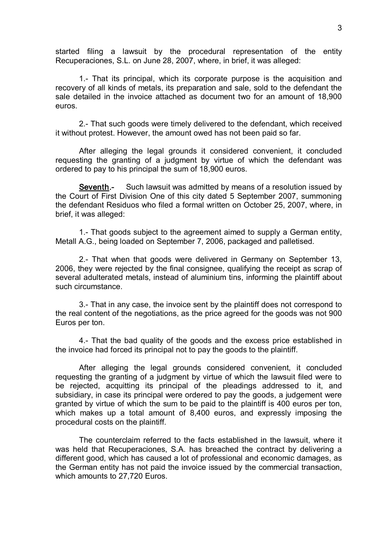started filing a lawsuit by the procedural representation of the entity Recuperaciones, S.L. on June 28, 2007, where, in brief, it was alleged:

1. That its principal, which its corporate purpose is the acquisition and recovery of all kinds of metals, its preparation and sale, sold to the defendant the sale detailed in the invoice attached as document two for an amount of 18,900 euros.

2. That such goods were timely delivered to the defendant, which received it without protest. However, the amount owed has not been paid so far.

After alleging the legal grounds it considered convenient, it concluded requesting the granting of a judgment by virtue of which the defendant was ordered to pay to his principal the sum of 18,900 euros.

Seventh.- Such lawsuit was admitted by means of a resolution issued by the Court of First Division One of this city dated 5 September 2007, summoning the defendant Residuos who filed a formal written on October 25, 2007, where, in brief, it was alleged:

1. That goods subject to the agreement aimed to supply a German entity, Metall A.G., being loaded on September 7, 2006, packaged and palletised.

2. That when that goods were delivered in Germany on September 13, 2006, they were rejected by the final consignee, qualifying the receipt as scrap of several adulterated metals, instead of aluminium tins, informing the plaintiff about such circumstance.

3. That in any case, the invoice sent by the plaintiff does not correspond to the real content of the negotiations, as the price agreed for the goods was not 900 Euros per ton.

4. That the bad quality of the goods and the excess price established in the invoice had forced its principal not to pay the goods to the plaintiff.

After alleging the legal grounds considered convenient, it concluded requesting the granting of a judgment by virtue of which the lawsuit filed were to be rejected, acquitting its principal of the pleadings addressed to it, and subsidiary, in case its principal were ordered to pay the goods, a judgement were granted by virtue of which the sum to be paid to the plaintiff is 400 euros per ton, which makes up a total amount of 8,400 euros, and expressly imposing the procedural costs on the plaintiff.

The counterclaim referred to the facts established in the lawsuit, where it was held that Recuperaciones, S.A. has breached the contract by delivering a different good, which has caused a lot of professional and economic damages, as the German entity has not paid the invoice issued by the commercial transaction, which amounts to 27,720 Euros.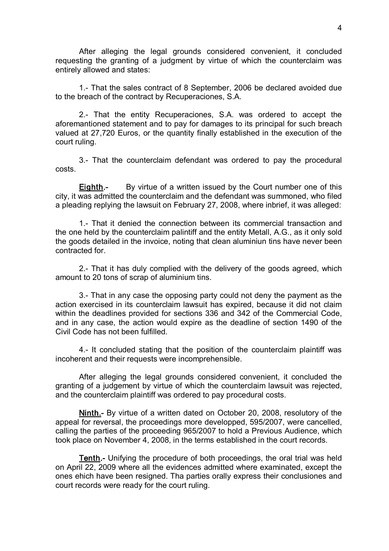After alleging the legal grounds considered convenient, it concluded requesting the granting of a judgment by virtue of which the counterclaim was entirely allowed and states:

1. That the sales contract of 8 September, 2006 be declared avoided due to the breach of the contract by Recuperaciones, S.A.

2. That the entity Recuperaciones, S.A. was ordered to accept the aforemantioned statement and to pay for damages to its principal for such breach valued at 27,720 Euros, or the quantity finally established in the execution of the court ruling.

3. That the counterclaim defendant was ordered to pay the procedural costs.

**Eighth.** By virtue of a written issued by the Court number one of this city, it was admitted the counterclaim and the defendant was summoned, who filed a pleading replying the lawsuit on February 27, 2008, where inbrief, it was alleged:

1. That it denied the connection between its commercial transaction and the one held by the counterclaim palintiff and the entity Metall, A.G., as it only sold the goods detailed in the invoice, noting that clean aluminiun tins have never been contracted for.

2. That it has duly complied with the delivery of the goods agreed, which amount to 20 tons of scrap of aluminium tins.

3. That in any case the opposing party could not deny the payment as the action exercised in its counterclaim lawsuit has expired, because it did not claim within the deadlines provided for sections 336 and 342 of the Commercial Code, and in any case, the action would expire as the deadline of section 1490 of the Civil Code has not been fulfilled.

4. It concluded stating that the position of the counterclaim plaintiff was incoherent and their requests were incomprehensible.

After alleging the legal grounds considered convenient, it concluded the granting of a judgement by virtue of which the counterclaim lawsuit was rejected, and the counterclaim plaintiff was ordered to pay procedural costs.

Ninth. By virtue of a written dated on October 20, 2008, resolutory of the appeal for reversal, the proceedings more developped, 595/2007, were cancelled, calling the parties of the proceeding 965/2007 to hold a Previous Audience, which took place on November 4, 2008, in the terms established in the court records.

**Tenth.** Unifying the procedure of both proceedings, the oral trial was held on April 22, 2009 where all the evidences admitted where examinated, except the ones ehich have been resigned. Tha parties orally express their conclusiones and court records were ready for the court ruling.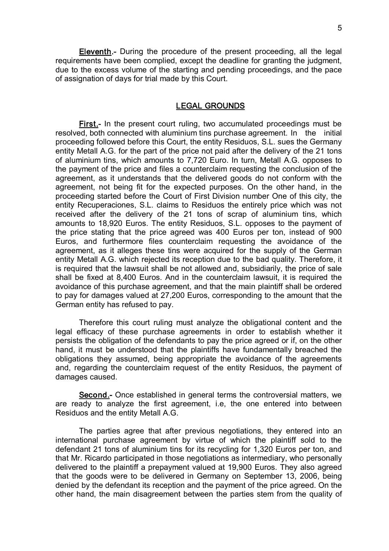Eleventh. During the procedure of the present proceeding, all the legal requirements have been complied, except the deadline for granting the judgment, due to the excess volume of the starting and pending proceedings, and the pace of assignation of days for trial made by this Court.

# LEGAL GROUNDS

**First.** In the present court ruling, two accumulated proceedings must be resolved, both connected with aluminium tins purchase agreement. In the initial proceeding followed before this Court, the entity Residuos, S.L. sues the Germany entity Metall A.G. for the part of the price not paid after the delivery of the 21 tons of aluminium tins, which amounts to 7,720 Euro. In turn, Metall A.G. opposes to the payment of the price and files a counterclaim requesting the conclusion of the agreement, as it understands that the delivered goods do not conform with the agreement, not being fit for the expected purposes. On the other hand, in the proceeding started before the Court of First Division number One of this city, the entity Recuperaciones, S.L. claims to Residuos the entirely price which was not received after the delivery of the 21 tons of scrap of aluminium tins, which amounts to 18,920 Euros. The entity Residuos, S.L. opposes to the payment of the price stating that the price agreed was 400 Euros per ton, instead of 900 Euros, and furthermore files counterclaim requesting the avoidance of the agreement, as it alleges these tins were acquired for the supply of the German entity Metall A.G. which rejected its reception due to the bad quality. Therefore, it is required that the lawsuit shall be not allowed and, subsidiarily, the price of sale shall be fixed at 8,400 Euros. And in the counterclaim lawsuit, it is required the avoidance of this purchase agreement, and that the main plaintiff shall be ordered to pay for damages valued at 27,200 Euros, corresponding to the amount that the German entity has refused to pay.

Therefore this court ruling must analyze the obligational content and the legal efficacy of these purchase agreements in order to establish whether it persists the obligation of the defendants to pay the price agreed or if, on the other hand, it must be understood that the plaintiffs have fundamentally breached the obligations they assumed, being appropriate the avoidance of the agreements and, regarding the counterclaim request of the entity Residuos, the payment of damages caused.

Second. Once established in general terms the controversial matters, we are ready to analyze the first agreement, i.e, the one entered into between Residuos and the entity Metall A.G.

The parties agree that after previous negotiations, they entered into an international purchase agreement by virtue of which the plaintiff sold to the defendant 21 tons of aluminium tins for its recycling for 1,320 Euros per ton, and that Mr. Ricardo participated in those negotiations as intermediary, who personally delivered to the plaintiff a prepayment valued at 19,900 Euros. They also agreed that the goods were to be delivered in Germany on September 13, 2006, being denied by the defendant its reception and the payment of the price agreed. On the other hand, the main disagreement between the parties stem from the quality of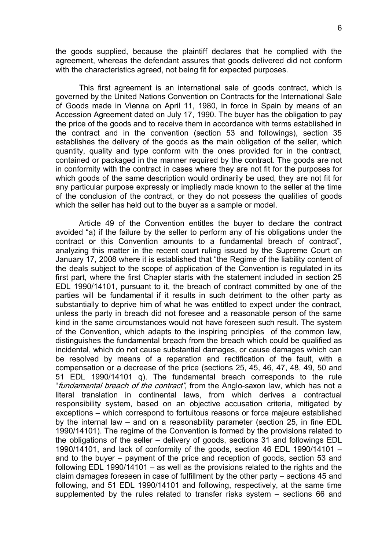the goods supplied, because the plaintiff declares that he complied with the agreement, whereas the defendant assures that goods delivered did not conform with the characteristics agreed, not being fit for expected purposes.

This first agreement is an international sale of goods contract, which is governed by the United Nations Convention on Contracts for the International Sale of Goods made in Vienna on April 11, 1980, in force in Spain by means of an Accession Agreement dated on July 17, 1990. The buyer has the obligation to pay the price of the goods and to receive them in accordance with terms established in the contract and in the convention (section 53 and followings), section 35 establishes the delivery of the goods as the main obligation of the seller, which quantity, quality and type conform with the ones provided for in the contract, contained or packaged in the manner required by the contract. The goods are not in conformity with the contract in cases where they are not fit for the purposes for which goods of the same description would ordinarily be used, they are not fit for any particular purpose expressly or impliedly made known to the seller at the time of the conclusion of the contract, or they do not possess the qualities of goods which the seller has held out to the buyer as a sample or model.

Article 49 of the Convention entitles the buyer to declare the contract avoided "a) if the failure by the seller to perform any of his obligations under the contract or this Convention amounts to a fundamental breach of contract", analyzing this matter in the recent court ruling issued by the Supreme Court on January 17, 2008 where it is established that "the Regime of the liability content of the deals subject to the scope of application of the Convention is regulated in its first part, where the first Chapter starts with the statement included in section 25 EDL 1990/14101, pursuant to it, the breach of contract committed by one of the parties will be fundamental if it results in such detriment to the other party as substantially to deprive him of what he was entitled to expect under the contract, unless the party in breach did not foresee and a reasonable person of the same kind in the same circumstances would not have foreseen such result. The system of the Convention, which adapts to the inspiring principles of the common law, distinguishes the fundamental breach from the breach which could be qualified as incidental, which do not cause substantial damages, or cause damages which can be resolved by means of a reparation and rectification of the fault, with a compensation or a decrease of the price (sections 25, 45, 46, 47, 48, 49, 50 and 51 EDL 1990/14101 q). The fundamental breach corresponds to the rule "fundamental breach of the contract", from the Anglo-saxon law, which has not a literal translation in continental laws, from which derives a contractual responsibility system, based on an objective accusation criteria, mitigated by exceptions – which correspond to fortuitous reasons or force majeure established by the internal law – and on a reasonability parameter (section 25, in fine EDL 1990/14101). The regime of the Convention is formed by the provisions related to the obligations of the seller – delivery of goods, sections 31 and followings EDL 1990/14101, and lack of conformity of the goods, section 46 EDL 1990/14101 – and to the buyer – payment of the price and reception of goods, section 53 and following EDL 1990/14101 – as well as the provisions related to the rights and the claim damages foreseen in case of fulfillment by the other party – sections 45 and following, and 51 EDL 1990/14101 and following, respectively, at the same time supplemented by the rules related to transfer risks system – sections 66 and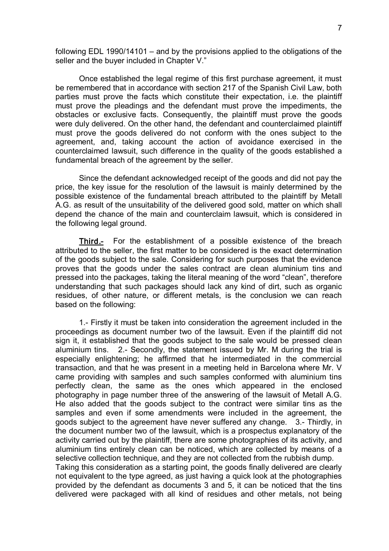following EDL 1990/14101 – and by the provisions applied to the obligations of the seller and the buyer included in Chapter V."

Once established the legal regime of this first purchase agreement, it must be remembered that in accordance with section 217 of the Spanish Civil Law, both parties must prove the facts which constitute their expectation, i.e. the plaintiff must prove the pleadings and the defendant must prove the impediments, the obstacles or exclusive facts. Consequently, the plaintiff must prove the goods were duly delivered. On the other hand, the defendant and counterclaimed plaintiff must prove the goods delivered do not conform with the ones subject to the agreement, and, taking account the action of avoidance exercised in the counterclaimed lawsuit, such difference in the quality of the goods established a fundamental breach of the agreement by the seller.

Since the defendant acknowledged receipt of the goods and did not pay the price, the key issue for the resolution of the lawsuit is mainly determined by the possible existence of the fundamental breach attributed to the plaintiff by Metall A.G. as result of the unsuitability of the delivered good sold, matter on which shall depend the chance of the main and counterclaim lawsuit, which is considered in the following legal ground.

Third.- For the establishment of a possible existence of the breach attributed to the seller, the first matter to be considered is the exact determination of the goods subject to the sale. Considering for such purposes that the evidence proves that the goods under the sales contract are clean aluminium tins and pressed into the packages, taking the literal meaning of the word "clean", therefore understanding that such packages should lack any kind of dirt, such as organic residues, of other nature, or different metals, is the conclusion we can reach based on the following:

1. Firstly it must be taken into consideration the agreement included in the proceedings as document number two of the lawsuit. Even if the plaintiff did not sign it, it established that the goods subject to the sale would be pressed clean aluminium tins. 2.- Secondly, the statement issued by Mr. M during the trial is especially enlightening; he affirmed that he intermediated in the commercial transaction, and that he was present in a meeting held in Barcelona where Mr. V came providing with samples and such samples conformed with aluminium tins perfectly clean, the same as the ones which appeared in the enclosed photography in page number three of the answering of the lawsuit of Metall A.G. He also added that the goods subject to the contract were similar tins as the samples and even if some amendments were included in the agreement, the goods subject to the agreement have never suffered any change. 3. Thirdly, in the document number two of the lawsuit, which is a prospectus explanatory of the activity carried out by the plaintiff, there are some photographies of its activity, and aluminium tins entirely clean can be noticed, which are collected by means of a selective collection technique, and they are not collected from the rubbish dump. Taking this consideration as a starting point, the goods finally delivered are clearly not equivalent to the type agreed, as just having a quick look at the photographies provided by the defendant as documents 3 and 5, it can be noticed that the tins delivered were packaged with all kind of residues and other metals, not being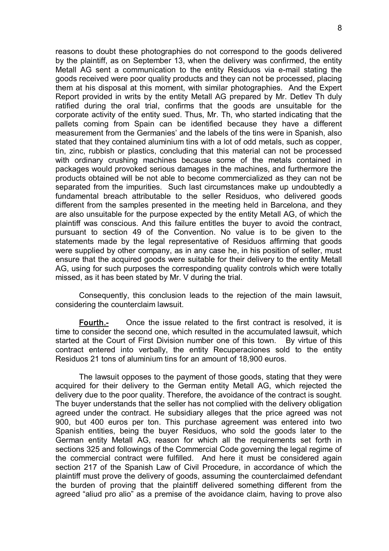reasons to doubt these photographies do not correspond to the goods delivered by the plaintiff, as on September 13, when the delivery was confirmed, the entity Metall AG sent a communication to the entity Residuos via e-mail stating the goods received were poor quality products and they can not be processed, placing them at his disposal at this moment, with similar photographies. And the Expert Report provided in writs by the entity Metall AG prepared by Mr. Detlev Th duly ratified during the oral trial, confirms that the goods are unsuitable for the corporate activity of the entity sued. Thus, Mr. Th, who started indicating that the pallets coming from Spain can be identified because they have a different measurement from the Germanies' and the labels of the tins were in Spanish, also stated that they contained aluminium tins with a lot of odd metals, such as copper, tin, zinc, rubbish or plastics, concluding that this material can not be processed with ordinary crushing machines because some of the metals contained in packages would provoked serious damages in the machines, and furthermore the products obtained will be not able to become commercialized as they can not be separated from the impurities. Such last circumstances make up undoubtedly a fundamental breach attributable to the seller Residuos, who delivered goods different from the samples presented in the meeting held in Barcelona, and they are also unsuitable for the purpose expected by the entity Metall AG, of which the plaintiff was conscious. And this failure entitles the buyer to avoid the contract, pursuant to section 49 of the Convention. No value is to be given to the statements made by the legal representative of Residuos affirming that goods were supplied by other company, as in any case he, in his position of seller, must ensure that the acquired goods were suitable for their delivery to the entity Metall AG, using for such purposes the corresponding quality controls which were totally missed, as it has been stated by Mr. V during the trial.

Consequently, this conclusion leads to the rejection of the main lawsuit, considering the counterclaim lawsuit.

Fourth. Once the issue related to the first contract is resolved, it is time to consider the second one, which resulted in the accumulated lawsuit, which started at the Court of First Division number one of this town. By virtue of this contract entered into verbally, the entity Recuperaciones sold to the entity Residuos 21 tons of aluminium tins for an amount of 18,900 euros.

The lawsuit opposes to the payment of those goods, stating that they were acquired for their delivery to the German entity Metall AG, which rejected the delivery due to the poor quality. Therefore, the avoidance of the contract is sought. The buyer understands that the seller has not complied with the delivery obligation agreed under the contract. He subsidiary alleges that the price agreed was not 900, but 400 euros per ton. This purchase agreement was entered into two Spanish entities, being the buyer Residuos, who sold the goods later to the German entity Metall AG, reason for which all the requirements set forth in sections 325 and followings of the Commercial Code governing the legal regime of the commercial contract were fulfilled. And here it must be considered again section 217 of the Spanish Law of Civil Procedure, in accordance of which the plaintiff must prove the delivery of goods, assuming the counterclaimed defendant the burden of proving that the plaintiff delivered something different from the agreed "aliud pro alio" as a premise of the avoidance claim, having to prove also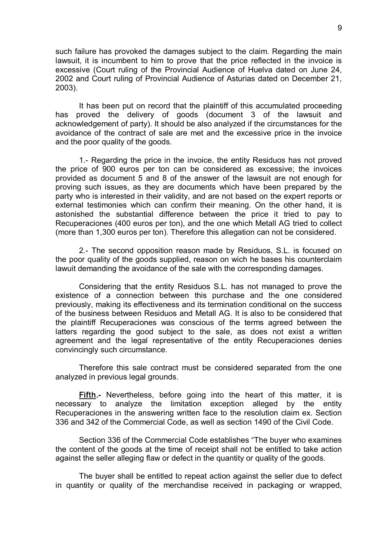such failure has provoked the damages subject to the claim. Regarding the main lawsuit, it is incumbent to him to prove that the price reflected in the invoice is excessive (Court ruling of the Provincial Audience of Huelva dated on June 24, 2002 and Court ruling of Provincial Audience of Asturias dated on December 21, 2003).

It has been put on record that the plaintiff of this accumulated proceeding has proved the delivery of goods (document 3 of the lawsuit and acknowledgement of party). It should be also analyzed if the circumstances for the avoidance of the contract of sale are met and the excessive price in the invoice and the poor quality of the goods.

1. Regarding the price in the invoice, the entity Residuos has not proved the price of 900 euros per ton can be considered as excessive; the invoices provided as document 5 and 8 of the answer of the lawsuit are not enough for proving such issues, as they are documents which have been prepared by the party who is interested in their validity, and are not based on the expert reports or external testimonies which can confirm their meaning. On the other hand, it is astonished the substantial difference between the price it tried to pay to Recuperaciones (400 euros per ton), and the one which Metall AG tried to collect (more than 1,300 euros per ton). Therefore this allegation can not be considered.

2. The second opposition reason made by Residuos, S.L. is focused on the poor quality of the goods supplied, reason on wich he bases his counterclaim lawuit demanding the avoidance of the sale with the corresponding damages.

Considering that the entity Residuos S.L. has not managed to prove the existence of a connection between this purchase and the one considered previously, making its effectiveness and its termination conditional on the success of the business between Residuos and Metall AG. It is also to be considered that the plaintiff Recuperaciones was conscious of the terms agreed between the latters regarding the good subject to the sale, as does not exist a written agreement and the legal representative of the entity Recuperaciones denies convincingly such circumstance.

Therefore this sale contract must be considered separated from the one analyzed in previous legal grounds.

**Fifth.** Nevertheless, before going into the heart of this matter, it is necessary to analyze the limitation exception alleged by the entity Recuperaciones in the answering written face to the resolution claim ex. Section 336 and 342 of the Commercial Code, as well as section 1490 of the Civil Code.

Section 336 of the Commercial Code establishes "The buyer who examines the content of the goods at the time of receipt shall not be entitled to take action against the seller alleging flaw or defect in the quantity or quality of the goods.

The buyer shall be entitled to repeat action against the seller due to defect in quantity or quality of the merchandise received in packaging or wrapped,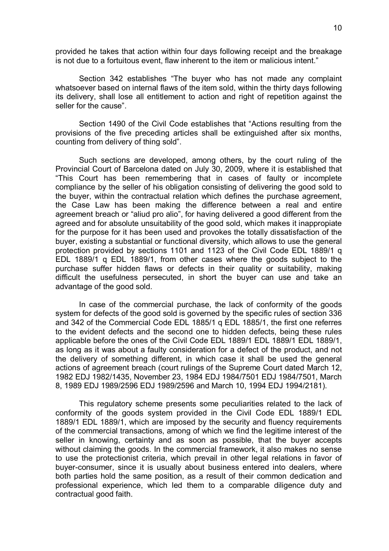provided he takes that action within four days following receipt and the breakage is not due to a fortuitous event, flaw inherent to the item or malicious intent."

Section 342 establishes "The buyer who has not made any complaint whatsoever based on internal flaws of the item sold, within the thirty days following its delivery, shall lose all entitlement to action and right of repetition against the seller for the cause".

Section 1490 of the Civil Code establishes that "Actions resulting from the provisions of the five preceding articles shall be extinguished after six months, counting from delivery of thing sold".

Such sections are developed, among others, by the court ruling of the Provincial Court of Barcelona dated on July 30, 2009, where it is established that "This Court has been remembering that in cases of faulty or incomplete compliance by the seller of his obligation consisting of delivering the good sold to the buyer, within the contractual relation which defines the purchase agreement, the Case Law has been making the difference between a real and entire agreement breach or "aliud pro alio", for having delivered a good different from the agreed and for absolute unsuitability of the good sold, which makes it inappropiate for the purpose for it has been used and provokes the totally dissatisfaction of the buyer, existing a substantial or functional diversity, which allows to use the general protection provided by sections 1101 and 1123 of the Civil Code EDL 1889/1 q EDL 1889/1 q EDL 1889/1, from other cases where the goods subject to the purchase suffer hidden flaws or defects in their quality or suitability, making difficult the usefulness persecuted, in short the buyer can use and take an advantage of the good sold.

In case of the commercial purchase, the lack of conformity of the goods system for defects of the good sold is governed by the specific rules of section 336 and 342 of the Commercial Code EDL 1885/1 q EDL 1885/1, the first one referres to the evident defects and the second one to hidden defects, being these rules applicable before the ones of the Civil Code EDL 1889/1 EDL 1889/1 EDL 1889/1, as long as it was about a faulty consideration for a defect of the product, and not the delivery of something different, in which case it shall be used the general actions of agreement breach (court rulings of the Supreme Court dated March 12, 1982 EDJ 1982/1435, November 23, 1984 EDJ 1984/7501 EDJ 1984/7501, March 8, 1989 EDJ 1989/2596 EDJ 1989/2596 and March 10, 1994 EDJ 1994/2181).

This regulatory scheme presents some peculiarities related to the lack of conformity of the goods system provided in the Civil Code EDL 1889/1 EDL 1889/1 EDL 1889/1, which are imposed by the security and fluency requirements of the commercial transactions, among of which we find the legitime interest of the seller in knowing, certainty and as soon as possible, that the buyer accepts without claiming the goods. In the commercial framework, it also makes no sense to use the protectionist criteria, which prevail in other legal relations in favor of buyer-consumer, since it is usually about business entered into dealers, where both parties hold the same position, as a result of their common dedication and professional experience, which led them to a comparable diligence duty and contractual good faith.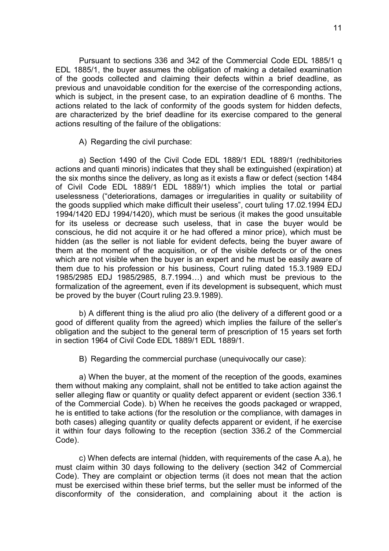Pursuant to sections 336 and 342 of the Commercial Code EDL 1885/1 q EDL 1885/1, the buyer assumes the obligation of making a detailed examination of the goods collected and claiming their defects within a brief deadline, as previous and unavoidable condition for the exercise of the corresponding actions, which is subject, in the present case, to an expiration deadline of 6 months. The actions related to the lack of conformity of the goods system for hidden defects, are characterized by the brief deadline for its exercise compared to the general actions resulting of the failure of the obligations:

A) Regarding the civil purchase:

a) Section 1490 of the Civil Code EDL 1889/1 EDL 1889/1 (redhibitories actions and quanti minoris) indicates that they shall be extinguished (expiration) at the six months since the delivery, as long as it exists a flaw or defect (section 1484 of Civil Code EDL 1889/1 EDL 1889/1) which implies the total or partial uselessness ("deteriorations, damages or irregularities in quality or suitability of the goods supplied which make difficult their useless", court tuling 17.02.1994 EDJ 1994/1420 EDJ 1994/1420), which must be serious (it makes the good unsuitable for its useless or decrease such useless, that in case the buyer would be conscious, he did not acquire it or he had offered a minor price), which must be hidden (as the seller is not liable for evident defects, being the buyer aware of them at the moment of the acquisition, or of the visible defects or of the ones which are not visible when the buyer is an expert and he must be easily aware of them due to his profession or his business, Court ruling dated 15.3.1989 EDJ 1985/2985 EDJ 1985/2985, 8.7.1994…) and which must be previous to the formalization of the agreement, even if its development is subsequent, which must be proved by the buyer (Court ruling 23.9.1989).

b) A different thing is the aliud pro alio (the delivery of a different good or a good of different quality from the agreed) which implies the failure of the seller's obligation and the subject to the general term of prescription of 15 years set forth in section 1964 of Civil Code EDL 1889/1 EDL 1889/1.

B) Regarding the commercial purchase (unequivocally our case):

a) When the buyer, at the moment of the reception of the goods, examines them without making any complaint, shall not be entitled to take action against the seller alleging flaw or quantity or quality defect apparent or evident (section 336.1 of the Commercial Code). b) When he receives the goods packaged or wrapped, he is entitled to take actions (for the resolution or the compliance, with damages in both cases) alleging quantity or quality defects apparent or evident, if he exercise it within four days following to the reception (section 336.2 of the Commercial Code).

c) When defects are internal (hidden, with requirements of the case A.a), he must claim within 30 days following to the delivery (section 342 of Commercial Code). They are complaint or objection terms (it does not mean that the action must be exercised within these brief terms, but the seller must be informed of the disconformity of the consideration, and complaining about it the action is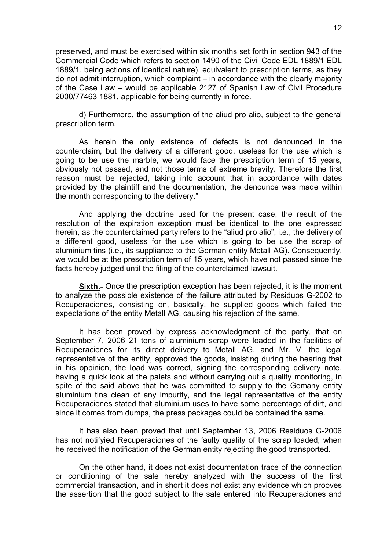preserved, and must be exercised within six months set forth in section 943 of the Commercial Code which refers to section 1490 of the Civil Code EDL 1889/1 EDL 1889/1, being actions of identical nature), equivalent to prescription terms, as they do not admit interruption, which complaint – in accordance with the clearly majority of the Case Law – would be applicable 2127 of Spanish Law of Civil Procedure 2000/77463 1881, applicable for being currently in force.

d) Furthermore, the assumption of the aliud pro alio, subject to the general prescription term.

As herein the only existence of defects is not denounced in the counterclaim, but the delivery of a different good, useless for the use which is going to be use the marble, we would face the prescription term of 15 years, obviously not passed, and not those terms of extreme brevity. Therefore the first reason must be rejected, taking into account that in accordance with dates provided by the plaintiff and the documentation, the denounce was made within the month corresponding to the delivery."

And applying the doctrine used for the present case, the result of the resolution of the expiration exception must be identical to the one expressed herein, as the counterclaimed party refers to the "aliud pro alio", i.e., the delivery of a different good, useless for the use which is going to be use the scrap of aluminium tins (i.e., its suppliance to the German entity Metall AG). Consequently, we would be at the prescription term of 15 years, which have not passed since the facts hereby judged until the filing of the counterclaimed lawsuit.

Sixth. Once the prescription exception has been rejected, it is the moment to analyze the possible existence of the failure attributed by Residuos G-2002 to Recuperaciones, consisting on, basically, he supplied goods which failed the expectations of the entity Metall AG, causing his rejection of the same.

It has been proved by express acknowledgment of the party, that on September 7, 2006 21 tons of aluminium scrap were loaded in the facilities of Recuperaciones for its direct delivery to Metall AG, and Mr. V, the legal representative of the entity, approved the goods, insisting during the hearing that in his oppinion, the load was correct, signing the corresponding delivery note, having a quick look at the palets and without carrying out a quality monitoring, in spite of the said above that he was committed to supply to the Gemany entity aluminium tins clean of any impurity, and the legal representative of the entity Recuperaciones stated that aluminium uses to have some percentage of dirt, and since it comes from dumps, the press packages could be contained the same.

It has also been proved that until September 13, 2006 Residuos G-2006 has not notifyied Recuperaciones of the faulty quality of the scrap loaded, when he received the notification of the German entity rejecting the good transported.

On the other hand, it does not exist documentation trace of the connection or conditioning of the sale hereby analyzed with the success of the first commercial transaction, and in short it does not exist any evidence which prooves the assertion that the good subject to the sale entered into Recuperaciones and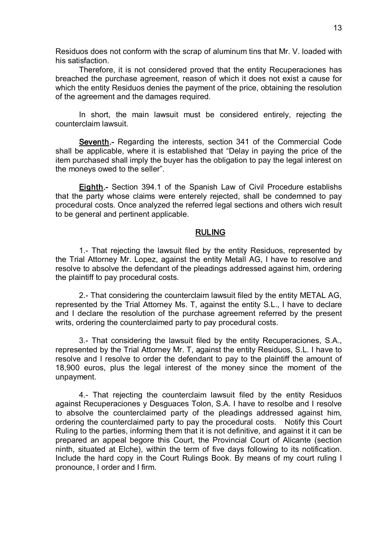Residuos does not conform with the scrap of aluminum tins that Mr. V. loaded with his satisfaction.

Therefore, it is not considered proved that the entity Recuperaciones has breached the purchase agreement, reason of which it does not exist a cause for which the entity Residuos denies the payment of the price, obtaining the resolution of the agreement and the damages required.

In short, the main lawsuit must be considered entirely, rejecting the counterclaim lawsuit.

Seventh.- Regarding the interests, section 341 of the Commercial Code shall be applicable, where it is established that "Delay in paying the price of the item purchased shall imply the buyer has the obligation to pay the legal interest on the moneys owed to the seller".

Eighth. Section 394.1 of the Spanish Law of Civil Procedure establishs that the party whose claims were enterely rejected, shall be condemned to pay procedural costs. Once analyzed the referred legal sections and others wich result to be general and pertinent applicable.

# RULING

1. That rejecting the lawsuit filed by the entity Residuos, represented by the Trial Attorney Mr. Lopez, against the entity Metall AG, I have to resolve and resolve to absolve the defendant of the pleadings addressed against him, ordering the plaintiff to pay procedural costs.

2. That considering the counterclaim lawsuit filed by the entity METAL AG, represented by the Trial Attorney Ms. T, against the entity S.L., I have to declare and I declare the resolution of the purchase agreement referred by the present writs, ordering the counterclaimed party to pay procedural costs.

3. That considering the lawsuit filed by the entity Recuperaciones, S.A., represented by the Trial Attorney Mr. T, against the entity Residuos, S.L. I have to resolve and I resolve to order the defendant to pay to the plaintiff the amount of 18,900 euros, plus the legal interest of the money since the moment of the unpayment.

4. That rejecting the counterclaim lawsuit filed by the entity Residuos against Recuperaciones y Desguaces Tolon, S.A. I have to resolbe and I resolve to absolve the counterclaimed party of the pleadings addressed against him, ordering the counterclaimed party to pay the procedural costs. Notify this Court Ruling to the parties, informing them that it is not definitive, and against it it can be prepared an appeal begore this Court, the Provincial Court of Alicante (section ninth, situated at Elche), within the term of five days following to its notification. Include the hard copy in the Court Rulings Book. By means of my court ruling I pronounce, I order and I firm.